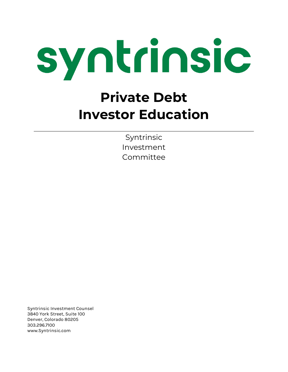

## **Private Debt Investor Education**

Syntrinsic Investment Committee

Syntrinsic Investment Counsel 3840 York Street, Suite 100 Denver, Colorado 80205 303.296.7100 www.Syntrinsic.com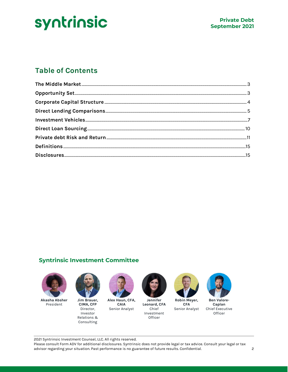## **Table of Contents**

#### **Syntrinsic Investment Committee**



**Akasha Absher** President



**Jim Brauer, CIMA, CFP** Director, Investor Relations & Consulting



**Alex Haun, CFA, CAIA** Senior Analyst



**Jennifer Leonard, CFA** Chief Investment **Officer** 



**Robin Meyer, CFA** Senior Analyst



**Ben Valore-Caplan** Chief Executive **Officer** 

2021 Syntrinsic Investment Counsel, LLC. All rights reserved.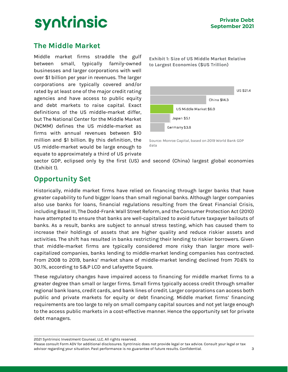## <span id="page-2-0"></span>**The Middle Market**

Middle market firms straddle the gulf between small, typically family-owned businesses and larger corporations with well over \$1 billion per year in revenues. The larger corporations are typically covered and/or rated by at least one of the major credit rating agencies and have access to public equity and debt markets to raise capital. Exact definitions of the US middle-market differ, but The National Center for the Middle Market (NCMM) defines the US middle-market as firms with annual revenues between \$10 million and \$1 billion. By this definition, the US middle-market would be large enough to equate to approximately a third of US private

**Exhibit 1: Size of US Middle Market Relative to Largest Economies (\$US Trillion)**



Source: Monroe Capital, based on 2019 World Bank GDP data

sector GDP, eclipsed only by the first (US) and second (China) largest global economies (Exhibit 1).

## <span id="page-2-1"></span>**Opportunity Set**

Historically, middle market firms have relied on financing through larger banks that have greater capability to fund bigger loans than small regional banks. Although larger companies also use banks for loans, financial regulations resulting from the Great Financial Crisis, including Basel III, The Dodd-Frank Wall Street Reform, and the Consumer Protection Act (2010) have attempted to ensure that banks are well-capitalized to avoid future taxpayer bailouts of banks. As a result, banks are subject to annual stress testing, which has caused them to increase their holdings of assets that are higher quality and reduce riskier assets and activities. The shift has resulted in banks restricting their lending to riskier borrowers. Given that middle-market firms are typically considered more risky than larger more wellcapitalized companies, banks lending to middle-market lending companies has contracted. From 2008 to 2019, banks' market share of middle-market lending declined from 70.6% to 30.1%, according to S&P LCD and Lafayette Square.

These regulatory changes have impaired access to financing for middle market firms to a greater degree than small or larger firms. Small firms typically access credit through smaller regional bank loans, credit cards, and bank lines of credit. Larger corporations can access both public and private markets for equity or debt financing. Middle market firms' financing requirements are too large to rely on small company capital sources and not yet large enough to the access public markets in a cost-effective manner. Hence the opportunity set for private debt managers.

2021 Syntrinsic Investment Counsel, LLC. All rights reserved.

Please consult Form ADV for additional disclosures. Syntrinsic does not provide legal or tax advice. Consult your legal or tax advisor regarding your situation. Past performance is no guarantee of future results. Confidential. 3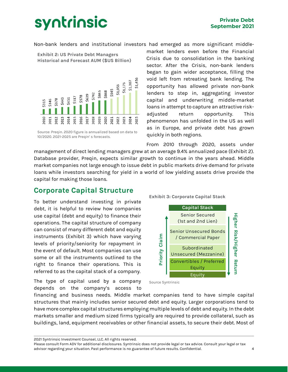Non-bank lenders and institutional investors had emerged as more significant middle-

**Exhibit 2: US Private Debt Managers Historical and Forecast AUM (\$US Billion)**



Source: Preqin. 2020 figure is annualized based on data to 10/2020. 2021-2025 are Preqin' s forecasts.

market lenders even before the Financial Crisis due to consolidation in the banking sector. After the Crisis, non-bank lenders began to gain wider acceptance, filling the void left from retreating bank lending. The opportunity has allowed private non-bank lenders to step in, aggregating investor capital and underwriting middle-market loans in attempt to capture an attractive riskadjusted return opportunity. This phenomenon has unfolded in the US as well as in Europe, and private debt has grown quickly in both regions.

From 2010 through 2020, assets under management of direct lending managers grew at an average 9.4% annualized pace (Exhibit 2). Database provider, Preqin, expects similar growth to continue in the years ahead. Middle market companies not large enough to issue debt in public markets drive demand for private loans while investors searching for yield in a world of low yielding assets drive provide the capital for making those loans.

### <span id="page-3-0"></span>**Corporate Capital Structure**

To better understand investing in private debt, it is helpful to review how companies use capital (debt and equity) to finance their operations. The capital structure of company can consist of many different debt and equity instruments (Exhibit 3) which have varying levels of priority/seniority for repayment in the event of default. Most companies can use some or all the instruments outlined to the right to finance their operations. This is referred to as the capital stack of a company.

The type of capital used by a company depends on the company's access to **Exhibit 3: Corporate Capital Stack**



Source Syntrinsic

financing and business needs. Middle market companies tend to have simple capital structures that mainly includes senior secured debt and equity. Larger corporations tend to have more complex capital structures employing multiple levels of debt and equity. In the debt markets smaller and medium sized firms typically are required to provide collateral, such as buildings, land, equipment receivables or other financial assets, to secure their debt. Most of

2021 Syntrinsic Investment Counsel, LLC. All rights reserved.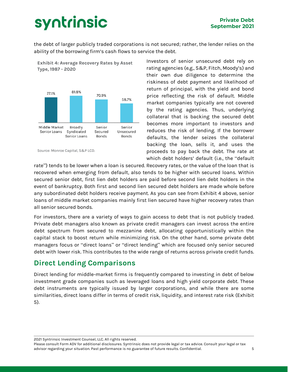the debt of larger publicly traded corporations is not secured; rather, the lender relies on the ability of the borrowing firm's cash flows to service the debt.



Investors of senior unsecured debt rely on rating agencies (e.g., S&P, Fitch, Moody's) and their own due diligence to determine the riskiness of debt payment and likelihood of return of principal, with the yield and bond price reflecting the risk of default. Middle market companies typically are not covered by the rating agencies. Thus, underlying collateral that is backing the secured debt becomes more important to investors and reduces the risk of lending. If the borrower defaults, the lender seizes the collateral backing the loan, sells it, and uses the proceeds to pay back the debt. The rate at which debt holders' default (i.e., the "default

rate") tends to be lower when a loan is secured. Recovery rates, or the value of the loan that is recovered when emerging from default, also tends to be higher with secured loans. Within secured senior debt, first lien debt holders are paid before second lien debt holders in the event of bankruptcy. Both first and second lien secured debt holders are made whole before any subordinated debt holders receive payment. As you can see from Exhibit 4 above, senior loans of middle market companies mainly first lien secured have higher recovery rates than all senior secured bonds.

For investors, there are a variety of ways to gain access to debt that is not publicly traded. Private debt managers also known as private credit managers can invest across the entire debt spectrum from secured to mezzanine debt, allocating opportunistically within the capital stack to boost return while minimizing risk. On the other hand, some private debt managers focus or "direct loans" or "direct lending" which are focused only senior secured debt with lower risk. This contributes to the wide range of returns across private credit funds.

## <span id="page-4-0"></span>**Direct Lending Comparisons**

Direct lending for middle-market firms is frequently compared to investing in debt of below investment grade companies such as leveraged loans and high yield corporate debt. These debt instruments are typically issued by larger corporations, and while there are some similarities, direct loans differ in terms of credit risk, liquidity, and interest rate risk (Exhibit 5).

2021 Syntrinsic Investment Counsel, LLC. All rights reserved.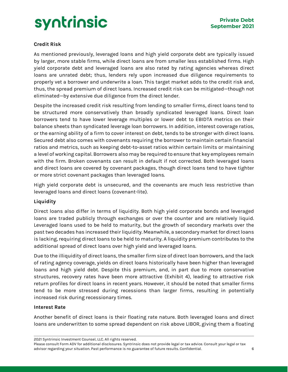

#### **Credit Risk**

As mentioned previously, leveraged loans and high yield corporate debt are typically issued by larger, more stable firms, while direct loans are from smaller less established firms. High yield corporate debt and leveraged loans are also rated by rating agencies whereas direct loans are unrated debt; thus, lenders rely upon increased due diligence requirements to properly vet a borrower and underwrite a loan. This target market adds to the credit risk and, thus, the spread premium of direct loans. Increased credit risk can be mitigated—though not eliminated—by extensive due diligence from the direct lender.

Despite the increased credit risk resulting from lending to smaller firms, direct loans tend to be structured more conservatively than broadly syndicated leveraged loans. Direct loan borrowers tend to have lower leverage multiples or lower debt to EBIDTA metrics on their balance sheets than syndicated leverage loan borrowers. In addition, interest coverage ratios, or the earning ability of a firm to cover interest on debt, tends to be stronger with direct loans. Secured debt also comes with covenants requiring the borrower to maintain certain financial ratios and metrics, such as keeping debt-to-asset ratios within certain limits or maintaining a level of working capital. Borrowers also may be required to ensure that key employees remain with the firm. Broken covenants can result in default if not corrected. Both leveraged loans and direct loans are covered by covenant packages, though direct loans tend to have tighter or more strict covenant packages than leveraged loans.

High yield corporate debt is unsecured, and the covenants are much less restrictive than leveraged loans and direct loans (covenant-lite).

#### **Liquidity**

Direct loans also differ in terms of liquidity. Both high yield corporate bonds and leveraged loans are traded publicly through exchanges or over the counter and are relatively liquid. Leveraged loans used to be held to maturity, but the growth of secondary markets over the past two decades has increased their liquidity. Meanwhile, a secondary market for direct loans is lacking, requiring direct loans to be held to maturity. A liquidity premium contributes to the additional spread of direct loans over high yield and leveraged loans.

Due to the illiquidity of direct loans, the smaller firm size of direct loan borrowers, and the lack of rating agency coverage, yields on direct loans historically have been higher than leveraged loans and high yield debt. Despite this premium, and, in part due to more conservative structures, recovery rates have been more attractive (Exhibit 4), leading to attractive risk return profiles for direct loans in recent years. However, it should be noted that smaller firms tend to be more stressed during recessions than larger firms, resulting in potentially increased risk during recessionary times.

#### **Interest Rate**

Another benefit of direct loans is their floating rate nature. Both leveraged loans and direct loans are underwritten to some spread dependent on risk above LIBOR, giving them a floating

2021 Syntrinsic Investment Counsel, LLC. All rights reserved.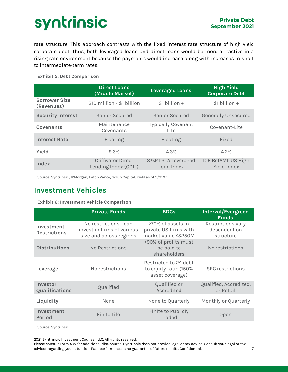rate structure. This approach contrasts with the fixed interest rate structure of high yield corporate debt. Thus, both leveraged loans and direct loans would be more attractive in a rising rate environment because the payments would increase along with increases in short to intermediate-term rates.

**Exhibit 5: Debt Comparison**

|                                    | <b>Direct Loans</b><br>(Middle Market)           | <b>Leveraged Loans</b>                      | <b>High Yield</b><br><b>Corporate Debt</b> |
|------------------------------------|--------------------------------------------------|---------------------------------------------|--------------------------------------------|
| <b>Borrower Size</b><br>(Revenues) | \$10 million - \$1 billion                       | $$1 billion +$                              | $$1 billion +$                             |
| <b>Security Interest</b>           | Senior Secured                                   | Senior Secured                              | <b>Generally Unsecured</b>                 |
| <b>Covenants</b>                   | Maintenance<br>Covenants                         | <b>Typically Covenant</b><br>Lite           | Covenant-Lite                              |
| <b>Interest Rate</b>               | Floating                                         | Floating                                    | Fixed                                      |
| Yield                              | 9.6%                                             | 4.3%                                        | 4.2%                                       |
| Index                              | <b>Cliffwater Direct</b><br>Lending Index (CDLI) | <b>S&amp;P LSTA Leveraged</b><br>Loan Index | ICE BofAML US High<br>Yield Index          |

Source: Syntrinsic, JPMorgan, Eaton Vance, Golub Capital. Yield as of 3/31/21.

## <span id="page-6-0"></span>**Investment Vehicles**

**Exhibit 6: Investment Vehicle Comparison**

|                                           | <b>Private Funds</b>                                                           | <b>BDCs</b>                                                        | Interval/Evergreen<br><b>Funds</b>             |
|-------------------------------------------|--------------------------------------------------------------------------------|--------------------------------------------------------------------|------------------------------------------------|
| Investment<br><b>Restrictions</b>         | No restrictions - can<br>invest in firms of various<br>size and across regions | >70% of assets in<br>private US firms with<br>market value <\$250M | Restrictions vary<br>dependent on<br>structure |
| <b>Distributions</b>                      | No Restrictions                                                                | >90% of profits must<br>be paid to<br>shareholders                 | No restrictions                                |
| Leverage                                  | No restrictions                                                                | Restricted to 2:1 debt<br>to equity ratio (150%<br>asset coverage) | <b>SEC</b> restrictions                        |
| Investor<br>Qualifications                | Qualified                                                                      | Qualified or<br>Accredited                                         | Qualified, Accredited,<br>or Retail            |
| Liquidity                                 | None                                                                           | None to Quarterly                                                  | Monthly or Quarterly                           |
| Investment<br><b>Period</b>               | Finite Life                                                                    | Finite to Publicly<br><b>Traded</b>                                | Open                                           |
| $\sim$ $\sim$ $\sim$ $\sim$ $\sim$ $\sim$ |                                                                                |                                                                    |                                                |

Source: Syntrinsic

2021 Syntrinsic Investment Counsel, LLC. All rights reserved.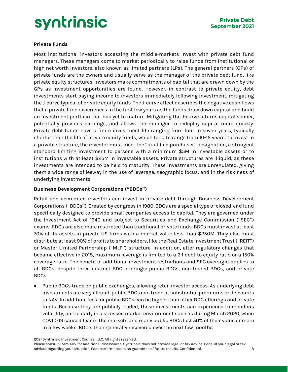

#### **Private Funds**

Most institutional investors accessing the middle-markets invest with private debt fund managers. These managers come to market periodically to raise funds from institutional or high net worth investors, also known as limited partners (LPs). The general partners (GPs) of private funds are the owners and usually serve as the manager of the private debt fund, like private equity structures. Investors make commitments of capital that are drawn down by the GPs as investment opportunities are found. However, in contrast to private equity, debt investments start paying income to investors immediately following investment, mitigating the J-curve typical of private equity funds. The J-curve effect describes the negative cash flows that a private fund experiences in the first few years as the funds draw down capital and build an investment portfolio that has yet to mature. Mitigating the J-curve returns capital sooner, potentially provides earnings, and allows the manager to redeploy capital more quickly. Private debt funds have a finite investment life ranging from four to seven years, typically shorter than the life of private equity funds, which tend to range from 10-15 years. To invest in a private structure, the investor must meet the "qualified purchaser" designation, a stringent standard limiting investment to persons with a minimum \$5M in investable assets or to institutions with at least \$25M in investable assets. Private structures are illiquid, as these investments are intended to be held to maturity. These investments are unregulated, giving them a wide range of leeway in the use of leverage, geographic focus, and in the riskiness of underlying investments.

#### **Business Development Corporations ("BDCs")**

Retail and accredited investors can invest in private debt through Business Development Corporations ("BDCs"). Created by congress in 1980, BDCs are a special type of closed-end fund specifically designed to provide small companies access to capital. They are governed under the Investment Act of 1940 and subject to Securities and Exchange Commission ("SEC") exams. BDCs are also more restricted than traditional private funds. BDCs must invest at least 70% of its assets in private US firms with a market value less than \$250M. They also must distribute at least 90% of profits to shareholders, like the Real Estate Investment Trust("REIT") or Master Limited Partnership ("MLP") structure. In addition, after regulatory changes that became effective in 2018, maximum leverage is limited to a 2:1 debt to equity ratio or a 150% coverage ratio. The benefit of additional investment restrictions and SEC oversight applies to all BDCs, despite three distinct BDC offerings: public BDCs, non-traded BDCs, and private BDCs.

• Public BDCs trade on public exchanges, allowing retail investor access. As underlying debt investments are very illiquid, public BDCs can trade at substantial premiums or discounts to NAV. In addition, fees for public BDCs can be higher than other BDC offerings and private funds. Because they are publicly traded, these investments can experience tremendous volatility, particularly in a stressed market environment such as during March 2020, when COVID-19 caused fear in the markets and many public BDCs lost 50% of their value or more in a few weeks. BDC's then generally recovered over the next few months.

2021 Syntrinsic Investment Counsel, LLC. All rights reserved.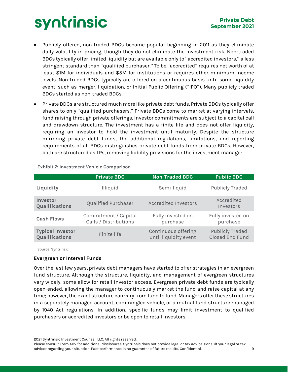- Publicly offered, non-traded BDCs became popular beginning in 2011 as they eliminate daily volatility in pricing, though they do not eliminate the investment risk. Non-traded BDCs typically offer limited liquidity but are available only to "accredited investors," a less stringent standard than "qualified purchaser." To be "accredited" requires net worth of at least \$1M for individuals and \$5M for institutions or requires other minimum income levels. Non-traded BDCs typically are offered on a continuous basis until some liquidity event, such as merger, liquidation, or Initial Public Offering ("IPO"). Many publicly traded BDCs started as non-traded BDCs.
- Private BDCs are structured much more like private debt funds. Private BDCs typically offer shares to only "qualified purchasers." Private BDCs come to market at varying intervals, fund raising through private offerings. Investor commitments are subject to a capital call and drawdown structure. The investment has a finite life and does not offer liquidity, requiring an investor to hold the investment until maturity. Despite the structure mirroring private debt funds, the additional regulations, limitations, and reporting requirements of all BDCs distinguishes private debt funds from private BDCs. However, both are structured as LPs, removing liability provisions for the investment manager.

|                                           | <b>Private BDC</b>                            | <b>Non-Traded BDC</b>                        | <b>Public BDC</b>                                |
|-------------------------------------------|-----------------------------------------------|----------------------------------------------|--------------------------------------------------|
| Liquidity                                 | Illiquid                                      | Semi-liquid                                  | <b>Publicly Traded</b>                           |
| Investor<br>Qualifications                | <b>Qualified Purchaser</b>                    | <b>Accredited Investors</b>                  | Accredited<br>Investors                          |
| <b>Cash Flows</b>                         | Commitment / Capital<br>Calls / Distributions | Fully invested on<br>purchase                | Fully invested on<br>purchase                    |
| <b>Typical Investor</b><br>Qualifications | Finite life                                   | Continuous offering<br>until liquidity event | <b>Publicly Traded</b><br><b>Closed End Fund</b> |

**Exhibit 7: Investment Vehicle Comparison**

Source: Syntrinsic

#### **Evergreen or Interval Funds**

Over the last few years, private debt managers have started to offer strategies in an evergreen fund structure. Although the structure, liquidity, and management of evergreen structures vary widely, some allow for retail investor access. Evergreen private debt funds are typically open-ended, allowing the manager to continuously market the fund and raise capital at any time; however, the exact structure can vary from fund to fund. Managers offer these structures in a separately managed account, commingled vehicle, or a mutual fund structure managed by 1940 Act regulations. In addition, specific funds may limit investment to qualified purchasers or accredited investors or be open to retail investors.

2021 Syntrinsic Investment Counsel, LLC. All rights reserved.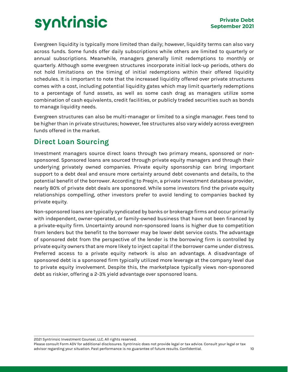Evergreen liquidity is typically more limited than daily; however, liquidity terms can also vary across funds. Some funds offer daily subscriptions while others are limited to quarterly or annual subscriptions. Meanwhile, managers generally limit redemptions to monthly or quarterly. Although some evergreen structures incorporate initial lock-up periods, others do not hold limitations on the timing of initial redemptions within their offered liquidity schedules. It is important to note that the increased liquidity offered over private structures comes with a cost, including potential liquidity gates which may limit quarterly redemptions to a percentage of fund assets, as well as some cash drag as managers utilize some combination of cash equivalents, credit facilities, or publicly traded securities such as bonds to manage liquidity needs.

Evergreen structures can also be multi-manager or limited to a single manager. Fees tend to be higher than in private structures; however, fee structures also vary widely across evergreen funds offered in the market.

## <span id="page-9-0"></span>**Direct Loan Sourcing**

Investment managers source direct loans through two primary means, sponsored or nonsponsored. Sponsored loans are sourced through private equity managers and through their underlying privately owned companies. Private equity sponsorship can bring important support to a debt deal and ensure more certainty around debt covenants and details, to the potential benefit of the borrower. According to Preqin, a private investment database provider, nearly 80% of private debt deals are sponsored. While some investors find the private equity relationships compelling, other investors prefer to avoid lending to companies backed by private equity.

Non-sponsored loans are typically syndicated by banks or brokerage firms and occur primarily with independent, owner-operated, or family-owned business that have not been financed by a private-equity firm. Uncertainty around non-sponsored loans is higher due to competition from lenders but the benefit to the borrower may be lower debt service costs. The advantage of sponsored debt from the perspective of the lender is the borrowing firm is controlled by private equity owners that are more likely to inject capital if the borrower came under distress. Preferred access to a private equity network is also an advantage. A disadvantage of sponsored debt is a sponsored firm typically utilized more leverage at the company level due to private equity involvement. Despite this, the marketplace typically views non-sponsored debt as riskier, offering a 2-3% yield advantage over sponsored loans.

2021 Syntrinsic Investment Counsel, LLC. All rights reserved.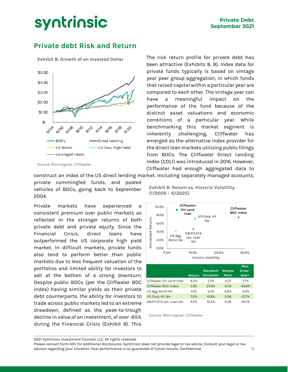## <span id="page-10-0"></span>**Private debt Risk and Return**

**Exhibit 8: Growth of an Invested Dollar**



Source: Morningstar, Cliffwater

construct an index of the US direct lending market, including separately managed accounts,

private commingled funds, and pooled vehicles of BDCs, going back to September 2004.

Private markets have experienced a consistent premium over public markets as reflected in the stronger returns of both private debt and private equity. Since the Financial Crisis, direct loans have outperformed the US corporate high yield market. In difficult markets, private funds also tend to perform better than public markets due to less frequent valuation of the portfolios and limited ability for investors to sell at the bottom of a strong downturn. Despite public BDCs (per the Cliffwater BDC index) having similar yields as their private debt counterparts, the ability for investors to trade across public markets led to an extreme drawdown, defined as the peak-to-trough decline in value of an investment, of over -65% during the Financial Crisis (Exhibit 9). This

The risk return profile for private debt has been attractive (Exhibits 8, 9). Index data for private funds typically is based on vintage year peer group aggregation, in which funds that raised capital within a particular year are compared to each other. The vintage year can have a meaningful impact on the performance of the fund because of the distinct asset valuations and economic conditions of a particular year. While benchmarking this market segment is inherently challenging, Cliffwater has emerged as the alternative index provider for the direct loan markets utilizing public filings from BDCs. The Cliffwater Direct Lending Index (CDLI) was introduced in 2016. However, Cliffwater had enough aggregated data to

**Exhibit 9: Return vs. Historic Volatility (1/2005 – 6/2025)**



Source: Morningstar, Cliffwater

2021 Syntrinsic Investment Counsel, LLC. All rights reserved.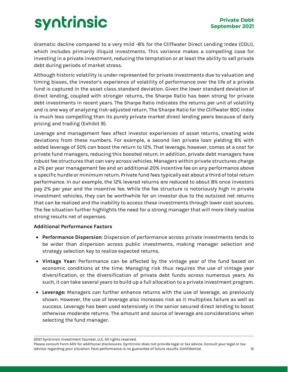dramatic decline compared to a very mild -8% for the Cliffwater Direct Lending Index (CDLI), which includes primarily illiquid investments. This variance makes a compelling case for investing in a private investment, reducing the temptation or at least the ability to sell private debt during periods of market stress.

Although historic volatility is under-represented for private investments due to valuation and timing biases, the investor's experience of volatility of performance over the life of a private fund is captured in the asset class standard deviation. Given the lower standard deviation of direct lending, coupled with stronger returns, the Sharpe Ratio has been strong for private debt investments in recent years. The Sharpe Ratio indicates the returns per unit of volatility and is one way of analyzing risk-adjusted return. The Sharpe Ratio for the Cliffwater BDC index is much less compelling than its purely private market direct lending peers because of daily pricing and trading (Exhibit 9).

Leverage and management fees affect investor experiences of asset returns, creating wide deviations from these numbers. For example, a second lien private loan yielding 8% with added leverage of 50% can boost the return to 12%. That leverage, however, comes at a cost for private fund managers, reducing this boosted return. In addition, private debt managers have robust fee structures that can vary across vehicles. Managers within private structures charge a 2% per year management fee and an additional 20% incentive fee on any performance above a specific hurdle or minimum return. Private fund fees typically eat about a third of total return performance. In our example, the 12% levered returns are reduced to about 8% once investors pay 2% per year and the incentive fee. While the fee structure is notoriously high in private investment vehicles, they can be worthwhile for an investor due to the outsized net returns that can be realized and the inability to access these investments through lower cost sources. The fee situation further highlights the need for a strong manager that will more likely realize strong results net of expenses.

#### **Additional Performance Factors**

- **Performance Dispersion**: Dispersion of performance across private investments tends to be wider than dispersion across public investments, making manager selection and strategy selection key to realize expected returns.
- **Vintage Year:** Performance can be affected by the vintage year of the fund based on economic conditions at the time. Managing risk thus requires the use of vintage year diversification, or the diversification of private debt funds across numerous years. As such, it can take several years to build up a full allocation to a private investment program.
- **Leverage:** Managers can further enhance returns with the use of leverage, as previously shown. However, the use of leverage also increases risk as it multiplies failure as well as success. Leverage has been used extensively in the senior secured direct lending to boost otherwise moderate returns. The amount and source of leverage are considerations when selecting the fund manager.

2021 Syntrinsic Investment Counsel, LLC. All rights reserved.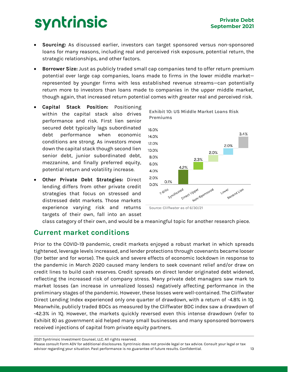- **Sourcing:** As discussed earlier, investors can target sponsored versus non-sponsored loans for many reasons, including real and perceived risk exposure, potential return, the strategic relationships, and other factors.
- **Borrower Size:** Just as publicly traded small cap companies tend to offer return premium potential over large cap companies, loans made to firms in the lower middle market represented by younger firms with less established revenue streams—can potentially return more to investors than loans made to companies in the upper middle market, though again, that increased return potential comes with greater real and perceived risk.

**Premiums**

- **Capital Stack Position:** Positioning within the capital stack also drives performance and risk. First lien senior secured debt typically lags subordinated debt performance when economic conditions are strong. As investors move down the capital stack though second lien senior debt, junior subordinated debt, mezzanine, and finally preferred equity, potential return and volatility increase.
- **Other Private Debt Strategies:** Direct lending differs from other private credit strategies that focus on stressed and distressed debt markets. Those markets experience varying risk and returns targets of their own, fall into an asset



**Exhibit 10: US Middle Market Loans Risk** 

class category of their own, and would be a meaningful topic for another research piece.

### **Current market conditions**

Prior to the COVID-19 pandemic, credit markets enjoyed a robust market in which spreads tightened, leverage levels increased, and lender protections through covenants became looser (for better and for worse). The quick and severe effects of economic lockdown in response to the pandemic in March 2020 caused many lenders to seek covenant relief and/or draw on credit lines to build cash reserves. Credit spreads on direct lender originated debt widened, reflecting the increased risk of company stress. Many private debt managers saw mark to market losses (an increase in unrealized losses) negatively affecting performance in the preliminary stages of the pandemic. However, these losses were well-contained. The Cliffwater Direct Lending Index experienced only one quarter of drawdown, with a return of -4.8% in 1Q. Meanwhile, publicly traded BDCs as measured by the Cliffwater BDC index saw a drawdown of -42.3% in 1Q. However, the markets quickly reversed even this intense drawdown (refer to Exhibit 8) as government aid helped many small businesses and many sponsored borrowers received injections of capital from private equity partners.

2021 Syntrinsic Investment Counsel, LLC. All rights reserved.

Source: Cliffwater as of 6/30/21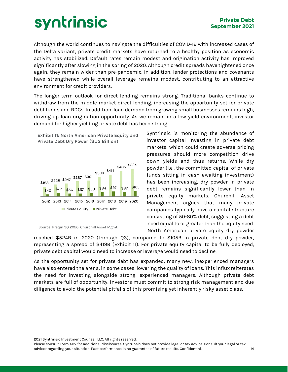Although the world continues to navigate the difficulties of COVID-19 with increased cases of the Delta variant, private credit markets have returned to a healthy position as economic activity has stabilized. Default rates remain modest and origination activity has improved significantly after slowing in the spring of 2020. Although credit spreads have tightened once again, they remain wider than pre-pandemic. In addition, lender protections and covenants have strengthened while overall leverage remains modest, contributing to an attractive environment for credit providers.

The longer-term outlook for direct lending remains strong. Traditional banks continue to withdraw from the middle-market direct lending, increasing the opportunity set for private debt funds and BDCs. In addition, loan demand from growing small businesses remains high, driving up loan origination opportunity. As we remain in a low yield environment, investor demand for higher yielding private debt has been strong.



Source: Preqin 3Q 2020, Churchill Asset Mgmt.

Syntrinsic is monitoring the abundance of investor capital investing in private debt markets, which could create adverse pricing pressures should more competition drive down yields and thus returns. While dry powder (i.e., the committed capital of private funds sitting in cash awaiting investment) has been increasing, dry powder in private debt remains significantly lower than in private equity markets. Churchill Asset Management argues that many private companies typically have a capital structure consisting of 50-80% debt, suggesting a debt need equal to or greater than the equity need. North American private equity dry powder

reached \$524B in 2020 (through Q3), compared to \$105B in private debt dry powder, representing a spread of \$419B (Exhibit 11). For private equity capital to be fully deployed, private debt capital would need to increase or leverage would need to decline.

As the opportunity set for private debt has expanded, many new, inexperienced managers have also entered the arena, in some cases, lowering the quality of loans. This influx reiterates the need for investing alongside strong, experienced managers. Although private debt markets are full of opportunity, investors must commit to strong risk management and due diligence to avoid the potential pitfalls of this promising yet inherently risky asset class.

2021 Syntrinsic Investment Counsel, LLC. All rights reserved.